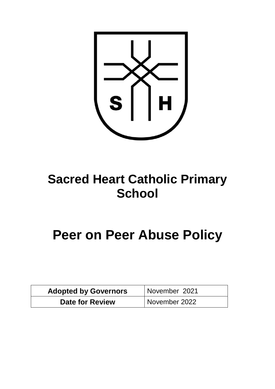

## **Sacred Heart Catholic Primary School**

# **Peer on Peer Abuse Policy**

| <b>Adopted by Governors</b> | November 2021 |
|-----------------------------|---------------|
| <b>Date for Review</b>      | November 2022 |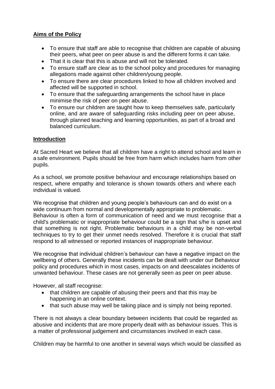## **Aims of the Policy**

- To ensure that staff are able to recognise that children are capable of abusing their peers, what peer on peer abuse is and the different forms it can take.
- That it is clear that this is abuse and will not be tolerated.
- To ensure staff are clear as to the school policy and procedures for managing allegations made against other children/young people.
- To ensure there are clear procedures linked to how all children involved and affected will be supported in school.
- To ensure that the safeguarding arrangements the school have in place minimise the risk of peer on peer abuse.
- To ensure our children are taught how to keep themselves safe, particularly online, and are aware of safeguarding risks including peer on peer abuse, through planned teaching and learning opportunities, as part of a broad and balanced curriculum.

## **Introduction**

At Sacred Heart we believe that all children have a right to attend school and learn in a safe environment. Pupils should be free from harm which includes harm from other pupils.

As a school, we promote positive behaviour and encourage relationships based on respect, where empathy and tolerance is shown towards others and where each individual is valued.

We recognise that children and young people's behaviours can and do exist on a wide continuum from normal and developmentally appropriate to problematic. Behaviour is often a form of communication of need and we must recognise that a child's problematic or inappropriate behaviour could be a sign that s/he is upset and that something is not right. Problematic behaviours in a child may be non-verbal techniques to try to get their unmet needs resolved. Therefore it is crucial that staff respond to all witnessed or reported instances of inappropriate behaviour.

We recognise that individual children's behaviour can have a negative impact on the wellbeing of others. Generally these incidents can be dealt with under our Behaviour policy and procedures which in most cases, impacts on and deescalates incidents of unwanted behaviour. These cases are not generally seen as peer on peer abuse.

However, all staff recognise:

- that children are capable of abusing their peers and that this may be happening in an online context.
- that such abuse may well be taking place and is simply not being reported.

There is not always a clear boundary between incidents that could be regarded as abusive and incidents that are more properly dealt with as behaviour issues. This is a matter of professional judgement and circumstances involved in each case.

Children may be harmful to one another in several ways which would be classified as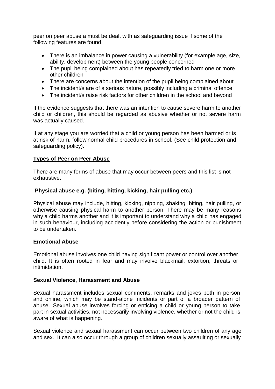peer on peer abuse a must be dealt with as safeguarding issue if some of the following features are found.

- There is an imbalance in power causing a vulnerability (for example age, size, ability, development) between the young people concerned
- The pupil being complained about has repeatedly tried to harm one or more other children
- There are concerns about the intention of the pupil being complained about
- The incident/s are of a serious nature, possibly including a criminal offence
- The incident/s raise risk factors for other children in the school and beyond

If the evidence suggests that there was an intention to cause severe harm to another child or children, this should be regarded as abusive whether or not severe harm was actually caused.

If at any stage you are worried that a child or young person has been harmed or is at risk of harm, follow normal child procedures in school. (See child protection and safeguarding policy).

#### **Types of Peer on Peer Abuse**

There are many forms of abuse that may occur between peers and this list is not exhaustive.

#### **Physical abuse e.g. (biting, hitting, kicking, hair pulling etc.)**

Physical abuse may include, hitting, kicking, nipping, shaking, biting, hair pulling, or otherwise causing physical harm to another person. There may be many reasons why a child harms another and it is important to understand why a child has engaged in such behaviour, including accidently before considering the action or punishment to be undertaken.

#### **Emotional Abuse**

Emotional abuse involves one child having significant power or control over another child. It is often rooted in fear and may involve blackmail, extortion, threats or intimidation.

#### **Sexual Violence, Harassment and Abuse**

Sexual harassment includes sexual comments, remarks and jokes both in person and online, which may be stand-alone incidents or part of a broader pattern of abuse. Sexual abuse involves forcing or enticing a child or young person to take part in sexual activities, not necessarily involving violence, whether or not the child is aware of what is happening.

Sexual violence and sexual harassment can occur between two children of any age and sex. It can also occur through a group of children sexually assaulting or sexually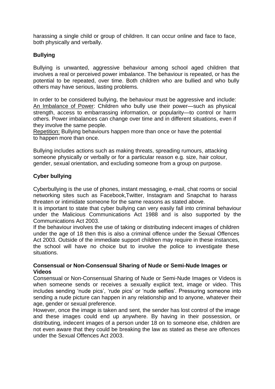harassing a single child or group of children. It can occur online and face to face, both physically and verbally.

## **Bullying**

Bullying is unwanted, aggressive behaviour among school aged children that involves a real or perceived power imbalance. The behaviour is repeated, or has the potential to be repeated, over time. Both children who are bullied and who bully others may have serious, lasting problems.

In order to be considered bullying, the behaviour must be aggressive and include: An Imbalance of Power: Children who bully use their power—such as physical strength, access to embarrassing information, or popularity—to control or harm others. Power imbalances can change over time and in different situations, even if they involve the same people.

Repetition: Bullying behaviours happen more than once or have the potential to happen more than once.

Bullying includes actions such as making threats, spreading rumours, attacking someone physically or verbally or for a particular reason e.g. size, hair colour, gender, sexual orientation, and excluding someone from a group on purpose.

## **Cyber bullying**

Cyberbullying is the use of phones, instant messaging, e-mail, chat rooms or social networking sites such as Facebook,Twitter, Instagram and Snapchat to harass threaten or intimidate someone for the same reasons as stated above.

It is important to state that cyber bullying can very easily fall into criminal behaviour under the Malicious Communications Act 1988 and is also supported by the Communications Act 2003.

If the behaviour involves the use of taking or distributing indecent images of children under the age of 18 then this is also a criminal offence under the Sexual Offences Act 2003. Outside of the immediate support children may require in these instances, the school will have no choice but to involve the police to investigate these situations.

#### **Consensual or Non-Consensual Sharing of Nude or Semi-Nude Images or Videos**

Consensual or Non-Consensual Sharing of Nude or Semi-Nude Images or Videos is when someone sends or receives a sexually explicit text, image or video. This includes sending 'nude pics', 'rude pics' or 'nude selfies'. Pressuring someone into sending a nude picture can happen in any relationship and to anyone, whatever their age, gender or sexual preference.

However, once the image is taken and sent, the sender has lost control of the image and these images could end up anywhere. By having in their possession, or distributing, indecent images of a person under 18 on to someone else, children are not even aware that they could be breaking the law as stated as these are offences under the Sexual Offences Act 2003.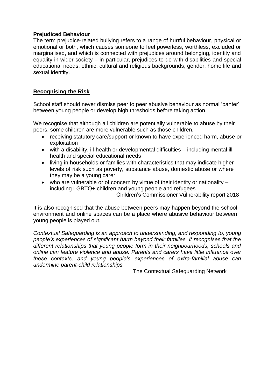### **Prejudiced Behaviour**

The term prejudice-related bullying refers to a range of hurtful behaviour, physical or emotional or both, which causes someone to feel powerless, worthless, excluded or marginalised, and which is connected with prejudices around belonging, identity and equality in wider society – in particular, prejudices to do with disabilities and special educational needs, ethnic, cultural and religious backgrounds, gender, home life and sexual identity.

## **Recognising the Risk**

School staff should never dismiss peer to peer abusive behaviour as normal 'banter' between young people or develop high thresholds before taking action.

We recognise that although all children are potentially vulnerable to abuse by their peers, some children are more vulnerable such as those children,

- receiving statutory care/support or known to have experienced harm, abuse or exploitation
- with a disability, ill-health or developmental difficulties including mental ill health and special educational needs
- living in households or families with characteristics that may indicate higher levels of risk such as poverty, substance abuse, domestic abuse or where they may be a young carer
- who are vulnerable or of concern by virtue of their identity or nationality  $$ including LGBTQ+ children and young people and refugees Children's Commissioner Vulnerability report 2018

It is also recognised that the abuse between peers may happen beyond the school environment and online spaces can be a place where abusive behaviour between young people is played out.

*Contextual Safeguarding is an approach to understanding, and responding to, young people's experiences of significant harm beyond their families. It recognises that the different relationships that young people form in their neighbourhoods, schools and online can feature violence and abuse. Parents and carers have little influence over these contexts, and young people's experiences of extra-familial abuse can undermine parent-child relationships.*

The Contextual Safeguarding Network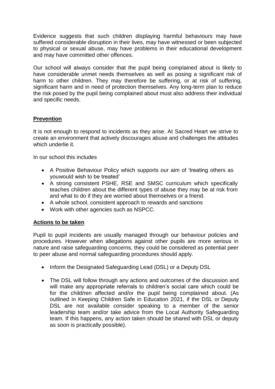Evidence suggests that such children displaying harmful behaviours may have suffered considerable disruption in their lives, may have witnessed or been subjected to physical or sexual abuse, may have problems in their educational development and may have committed other offences.

Our school will always consider that the pupil being complained about is likely to have considerable unmet needs themselves as well as posing a significant risk of harm to other children. They may therefore be suffering, or at risk of suffering, significant harm and in need of protection themselves. Any long-term plan to reduce the risk posed by the pupil being complained about must also address their individual and specific needs.

## **Prevention**

It is not enough to respond to incidents as they arise. At Sacred Heart we strive to create an environment that actively discourages abuse and challenges the attitudes which underlie it.

In our school this includes

- A Positive Behaviour Policy which supports our aim of 'treating others as youwould wish to be treated'
- A strong consistent PSHE, RSE and SMSC curriculum which specifically teaches children about the different types of abuse they may be at risk from and what to do if they are worried about themselves or a friend.
- A whole school, consistent approach to rewards and sanctions
- Work with other agencies such as NSPCC.

#### **Actions to be taken**

Pupil to pupil incidents are usually managed through our behaviour policies and procedures. However when allegations against other pupils are more serious in nature and raise safeguarding concerns, they could be considered as potential peer to peer abuse and normal safeguarding procedures should apply.

- Inform the Designated Safeguarding Lead (DSL) or a Deputy DSL
- The DSL will follow through any actions and outcomes of the discussion and will make any appropriate referrals to children's social care which could be for the child/ren affected and/or the pupil being complained about. (As outlined in Keeping Children Safe in Education 2021, if the DSL or Deputy DSL are not available consider speaking to a member of the senior leadership team and/or take advice from the Local Authority Safeguarding team. If this happens, any action taken should be shared with DSL or deputy as soon is practically possible).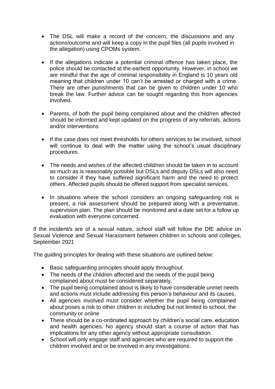- The DSL will make a record of the concern, the discussions and any actions/outcome and will keep a copy in the pupil files (all pupils involved in the allegation) using CPOMs system.
- If the allegations indicate a potential criminal offence has taken place, the police should be contacted at the earliest opportunity. However, in school we are mindful that the age of criminal responsibility in England is 10 years old meaning that children under 10 can't be arrested or charged with a crime. There are other punishments that can be given to children under 10 who break the law. Further advice can be sought regarding this from agencies involved.
- Parents, of both the pupil being complained about and the child/ren affected should be informed and kept updated on the progress of any referrals, actions and/or interventions
- If the case does not meet thresholds for others services to be involved, school will continue to deal with the matter using the school's usual disciplinary procedures.
- The needs and wishes of the affected child/ren should be taken in to account as much as is reasonably possible but DSLs and deputy DSLs will also need to consider if they have suffered significant harm and the need to protect others. Affected pupils should be offered support from specialist services.
- In situations where the school considers an ongoing safeguarding risk is present, a risk assessment should be prepared along with a preventative, supervision plan. The plan should be monitored and a date set for a follow up evaluation with everyone concerned.

If the incident/s are of a sexual nature, school staff will follow the DfE advice on Sexual Violence and Sexual Harassment between children in schools and colleges, September 2021

The guiding principles for dealing with these situations are outlined below:

- Basic safeguarding principles should apply throughout.
- The needs of the children affected and the needs of the pupil being complained about must be considered separately.
- The pupil being complained about is likely to have considerable unmet needs and actions must include addressing this person's behaviour and its causes.
- All agencies involved must consider whether the pupil being complained about poses a risk to other children in including but not limited to school, the community or online
- There should be a co-ordinated approach by children's social care, education and health agencies. No agency should start a course of action that has implications for any other agency without appropriate consultation.
- School will only engage staff and agencies who are required to support the children involved and or be involved in any investigations.